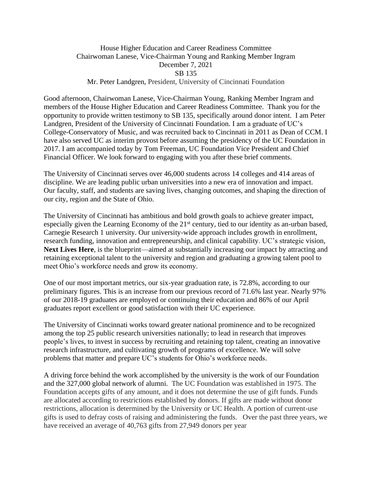## House Higher Education and Career Readiness Committee Chairwoman Lanese, Vice-Chairman Young and Ranking Member Ingram December 7, 2021 SB 135 Mr. Peter Landgren, President, University of Cincinnati Foundation

Good afternoon, Chairwoman Lanese, Vice-Chairman Young, Ranking Member Ingram and members of the House Higher Education and Career Readiness Committee. Thank you for the opportunity to provide written testimony to SB 135, specifically around donor intent. I am Peter Landgren, President of the University of Cincinnati Foundation. I am a graduate of UC's College-Conservatory of Music, and was recruited back to Cincinnati in 2011 as Dean of CCM. I have also served UC as interim provost before assuming the presidency of the UC Foundation in 2017. I am accompanied today by Tom Freeman, UC Foundation Vice President and Chief Financial Officer. We look forward to engaging with you after these brief comments.

The University of Cincinnati serves over 46,000 students across 14 colleges and 414 areas of discipline. We are leading public urban universities into a new era of innovation and impact. Our faculty, staff, and students are saving lives, changing outcomes, and shaping the direction of our city, region and the State of Ohio.

The University of Cincinnati has ambitious and bold growth goals to achieve greater impact, especially given the Learning Economy of the 21<sup>st</sup> century, tied to our identity as an-urban based, Carnegie Research 1 university. Our university-wide approach includes growth in enrollment, research funding, innovation and entrepreneurship, and clinical capability. UC's strategic vision, **Next Lives Here**, is the blueprint—aimed at substantially increasing our impact by attracting and retaining exceptional talent to the university and region and graduating a growing talent pool to meet Ohio's workforce needs and grow its economy.

One of our most important metrics, our six-year graduation rate, is 72.8%, according to our preliminary figures. This is an increase from our previous record of 71.6% last year. Nearly 97% of our 2018-19 graduates are employed or continuing their education and 86% of our April graduates report excellent or good satisfaction with their UC experience.

The University of Cincinnati works toward greater national prominence and to be recognized among the top 25 public research universities nationally; to lead in research that improves people's lives, to invest in success by recruiting and retaining top talent, creating an innovative research infrastructure, and cultivating growth of programs of excellence. We will solve problems that matter and prepare UC's students for Ohio's workforce needs.

A driving force behind the work accomplished by the university is the work of our Foundation and the 327,000 global network of alumni. The UC Foundation was established in 1975. The Foundation accepts gifts of any amount, and it does not determine the use of gift funds. Funds are allocated according to restrictions established by donors. If gifts are made without donor restrictions, allocation is determined by the University or UC Health. A portion of current-use gifts is used to defray costs of raising and administering the funds. Over the past three years, we have received an average of 40,763 gifts from 27,949 donors per year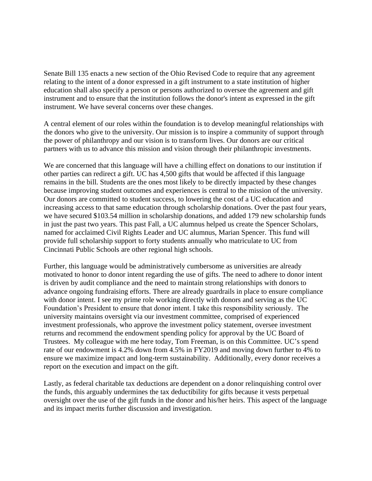Senate Bill 135 enacts a new section of the Ohio Revised Code to require that any agreement relating to the intent of a donor expressed in a gift instrument to a state institution of higher education shall also specify a person or persons authorized to oversee the agreement and gift instrument and to ensure that the institution follows the donor's intent as expressed in the gift instrument. We have several concerns over these changes.

A central element of our roles within the foundation is to develop meaningful relationships with the donors who give to the university. Our mission is to inspire a community of support through the power of philanthropy and our vision is to transform lives. Our donors are our critical partners with us to advance this mission and vision through their philanthropic investments.

We are concerned that this language will have a chilling effect on donations to our institution if other parties can redirect a gift. UC has 4,500 gifts that would be affected if this language remains in the bill. Students are the ones most likely to be directly impacted by these changes because improving student outcomes and experiences is central to the mission of the university. Our donors are committed to student success, to lowering the cost of a UC education and increasing access to that same education through scholarship donations. Over the past four years, we have secured \$103.54 million in scholarship donations, and added 179 new scholarship funds in just the past two years. This past Fall, a UC alumnus helped us create the Spencer Scholars, named for acclaimed Civil Rights Leader and UC alumnus, Marian Spencer. This fund will provide full scholarship support to forty students annually who matriculate to UC from Cincinnati Public Schools are other regional high schools.

Further, this language would be administratively cumbersome as universities are already motivated to honor to donor intent regarding the use of gifts. The need to adhere to donor intent is driven by audit compliance and the need to maintain strong relationships with donors to advance ongoing fundraising efforts. There are already guardrails in place to ensure compliance with donor intent. I see my prime role working directly with donors and serving as the UC Foundation's President to ensure that donor intent. I take this responsibility seriously. The university maintains oversight via our investment committee, comprised of experienced investment professionals, who approve the investment policy statement, oversee investment returns and recommend the endowment spending policy for approval by the UC Board of Trustees. My colleague with me here today, Tom Freeman, is on this Committee. UC's spend rate of our endowment is 4.2% down from 4.5% in FY2019 and moving down further to 4% to ensure we maximize impact and long-term sustainability. Additionally, every donor receives a report on the execution and impact on the gift.

Lastly, as federal charitable tax deductions are dependent on a donor relinquishing control over the funds, this arguably undermines the tax deductibility for gifts because it vests perpetual oversight over the use of the gift funds in the donor and his/her heirs. This aspect of the language and its impact merits further discussion and investigation.